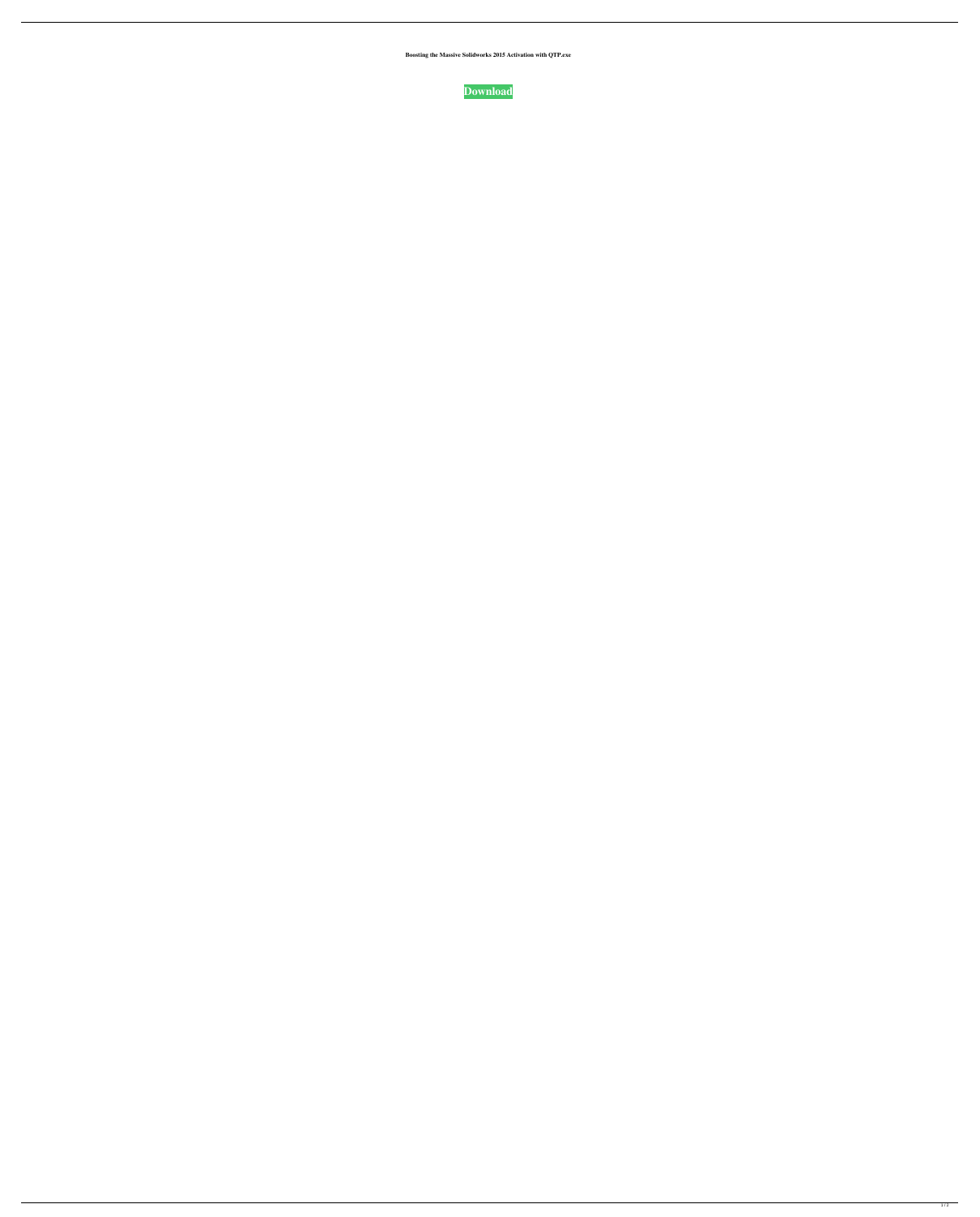**Boosting the Massive Solidworks 2015 Activation with QTP.exe**